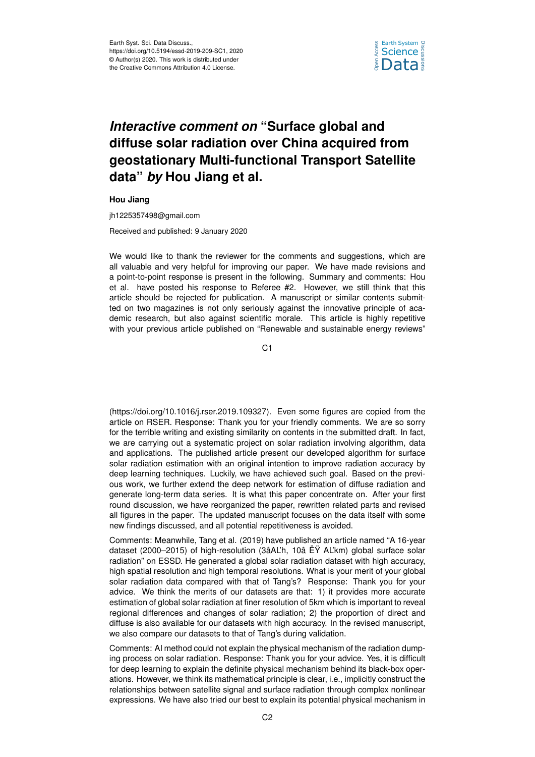

## *Interactive comment on* **"Surface global and diffuse solar radiation over China acquired from geostationary Multi-functional Transport Satellite data"** *by* **Hou Jiang et al.**

**Hou Jiang**

jh1225357498@gmail.com

Received and published: 9 January 2020

We would like to thank the reviewer for the comments and suggestions, which are all valuable and very helpful for improving our paper. We have made revisions and a point-to-point response is present in the following. Summary and comments: Hou et al. have posted his response to Referee #2. However, we still think that this article should be rejected for publication. A manuscript or similar contents submitted on two magazines is not only seriously against the innovative principle of academic research, but also against scientific morale. This article is highly repetitive with your previous article published on "Renewable and sustainable energy reviews"

C<sub>1</sub>

(https://doi.org/10.1016/j.rser.2019.109327). Even some figures are copied from the article on RSER. Response: Thank you for your friendly comments. We are so sorry for the terrible writing and existing similarity on contents in the submitted draft. In fact, we are carrying out a systematic project on solar radiation involving algorithm, data and applications. The published article present our developed algorithm for surface solar radiation estimation with an original intention to improve radiation accuracy by deep learning techniques. Luckily, we have achieved such goal. Based on the previous work, we further extend the deep network for estimation of diffuse radiation and generate long-term data series. It is what this paper concentrate on. After your first round discussion, we have reorganized the paper, rewritten related parts and revised all figures in the paper. The updated manuscript focuses on the data itself with some new findings discussed, and all potential repetitiveness is avoided.

Comments: Meanwhile, Tang et al. (2019) have published an article named "A 16-year dataset (2000–2015) of high-resolution (3âAL'h, 10â ËŸ AL'km) global surface solar radiation" on ESSD. He generated a global solar radiation dataset with high accuracy, high spatial resolution and high temporal resolutions. What is your merit of your global solar radiation data compared with that of Tang's? Response: Thank you for your advice. We think the merits of our datasets are that: 1) it provides more accurate estimation of global solar radiation at finer resolution of 5km which is important to reveal regional differences and changes of solar radiation; 2) the proportion of direct and diffuse is also available for our datasets with high accuracy. In the revised manuscript, we also compare our datasets to that of Tang's during validation.

Comments: AI method could not explain the physical mechanism of the radiation dumping process on solar radiation. Response: Thank you for your advice. Yes, it is difficult for deep learning to explain the definite physical mechanism behind its black-box operations. However, we think its mathematical principle is clear, i.e., implicitly construct the relationships between satellite signal and surface radiation through complex nonlinear expressions. We have also tried our best to explain its potential physical mechanism in